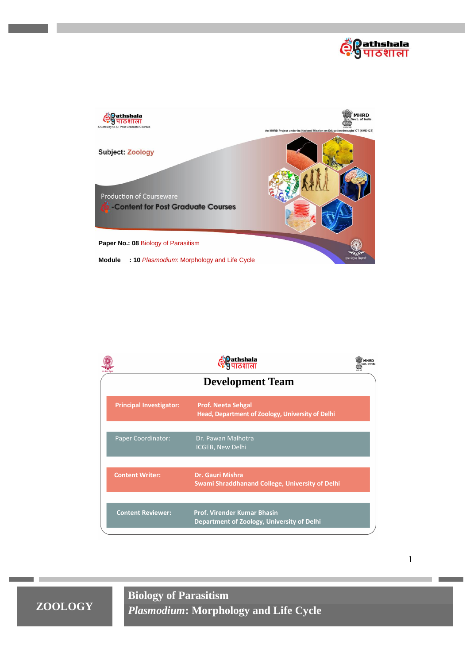



|                                | athshala<br>ठशाला                                                                | MHRD<br>Govt, of India |  |  |  |
|--------------------------------|----------------------------------------------------------------------------------|------------------------|--|--|--|
| <b>Development Team</b>        |                                                                                  |                        |  |  |  |
| <b>Principal Investigator:</b> | <b>Prof. Neeta Sehgal</b><br>Head, Department of Zoology, University of Delhi    |                        |  |  |  |
| <b>Paper Coordinator:</b>      | Dr. Pawan Malhotra<br>ICGEB, New Delhi                                           |                        |  |  |  |
| <b>Content Writer:</b>         | <b>Dr. Gauri Mishra</b><br>Swami Shraddhanand College, University of Delhi       |                        |  |  |  |
| <b>Content Reviewer:</b>       | <b>Prof. Virender Kumar Bhasin</b><br>Department of Zoology, University of Delhi |                        |  |  |  |

1

**ZOOLOGY**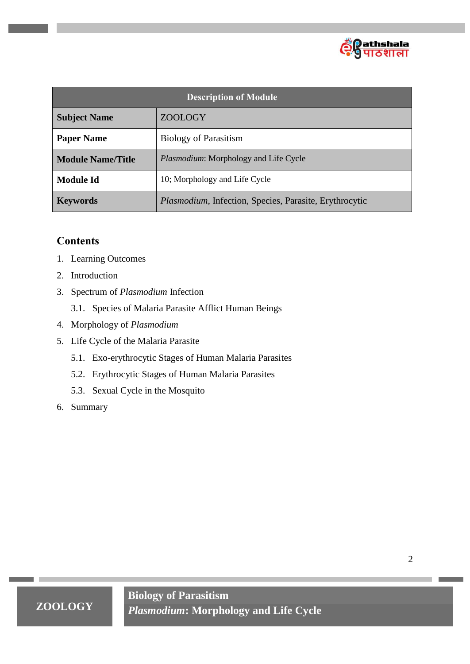

| <b>Description of Module</b> |                                                                |  |  |  |
|------------------------------|----------------------------------------------------------------|--|--|--|
| <b>Subject Name</b>          | <b>ZOOLOGY</b>                                                 |  |  |  |
| <b>Paper Name</b>            | <b>Biology of Parasitism</b>                                   |  |  |  |
| <b>Module Name/Title</b>     | <i>Plasmodium:</i> Morphology and Life Cycle                   |  |  |  |
| <b>Module Id</b>             | 10; Morphology and Life Cycle                                  |  |  |  |
| <b>Keywords</b>              | <i>Plasmodium</i> , Infection, Species, Parasite, Erythrocytic |  |  |  |

# **Contents**

- 1. Learning Outcomes
- 2. Introduction
- 3. Spectrum of *Plasmodium* Infection
	- 3.1. Species of Malaria Parasite Afflict Human Beings
- 4. Morphology of *Plasmodium*
- 5. Life Cycle of the Malaria Parasite
	- 5.1. Exo-erythrocytic Stages of Human Malaria Parasites
	- 5.2. Erythrocytic Stages of Human Malaria Parasites
	- 5.3. Sexual Cycle in the Mosquito
- 6. Summary

2

# **ZOOLOGY**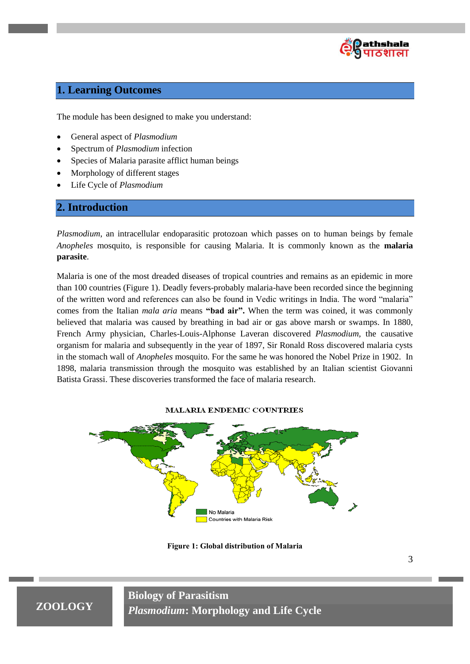

# **1. Learning Outcomes**

The module has been designed to make you understand:

- General aspect of *Plasmodium*
- Spectrum of *Plasmodium* infection
- Species of Malaria parasite afflict human beings
- Morphology of different stages
- Life Cycle of *Plasmodium*

## **2. Introduction**

*Plasmodium*, an intracellular endoparasitic protozoan which passes on to human beings by female *Anopheles* mosquito, is responsible for causing Malaria. It is commonly known as the **malaria parasite**.

Malaria is one of the most dreaded diseases of tropical countries and remains as an epidemic in more than 100 countries (Figure 1). Deadly fevers-probably malaria-have been recorded since the beginning of the written word and references can also be found in Vedic writings in India. The word "malaria" comes from the Italian *mala aria* means **"bad air".** When the term was coined, it was commonly believed that malaria was caused by breathing in bad air or gas above marsh or swamps. In 1880, French Army physician, Charles-Louis-Alphonse Laveran discovered *Plasmodium,* the causative organism for malaria and subsequently in the year of 1897, Sir Ronald Ross discovered malaria cysts in the stomach wall of *Anopheles* mosquito. For the same he was honored the Nobel Prize in 1902. In 1898, malaria transmission through the mosquito was established by an Italian scientist Giovanni Batista Grassi. These discoveries transformed the face of malaria research.

#### **MALARIA ENDEMIC COUNTRIES**



**Figure 1: Global distribution of Malaria**

# **ZOOLOGY**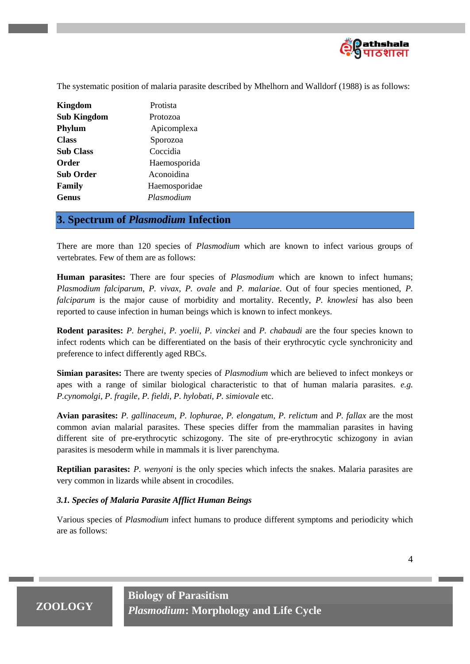

The systematic position of malaria parasite described by Mhelhorn and Walldorf (1988) is as follows:

| <b>Kingdom</b>     | Protista      |
|--------------------|---------------|
| <b>Sub Kingdom</b> | Protozoa      |
| Phylum             | Apicomplexa   |
| <b>Class</b>       | Sporozoa      |
| <b>Sub Class</b>   | Coccidia      |
| Order              | Haemosporida  |
| <b>Sub Order</b>   | Aconoidina    |
| Family             | Haemosporidae |
| Genus              | Plasmodium    |

## **3. Spectrum of** *Plasmodium* **Infection**

There are more than 120 species of *Plasmodium* which are known to infect various groups of vertebrates. Few of them are as follows:

**Human parasites:** There are four species of *Plasmodium* which are known to infect humans; *Plasmodium falciparum*, *P. vivax*, *P. ovale* and *P. malariae*. Out of four species mentioned, *P. falciparum* is the major cause of morbidity and mortality. Recently, *P. knowlesi* has also been reported to cause infection in human beings which is known to infect monkeys.

**Rodent parasites:** *P. berghei*, *P. yoelii*, *P. vinckei* and *P. chabaudi* are the four species known to infect rodents which can be differentiated on the basis of their erythrocytic cycle synchronicity and preference to infect differently aged RBCs.

**Simian parasites:** There are twenty species of *Plasmodium* which are believed to infect monkeys or apes with a range of similar biological characteristic to that of human malaria parasites. *e.g. P.cynomolgi, P. fragile, P. fieldi, P. hylobati, P. simiovale* etc.

**Avian parasites:** *P. gallinaceum*, *P. lophurae*, *P. elongatum*, *P. relictum* and *P. fallax* are the most common avian malarial parasites. These species differ from the mammalian parasites in having different site of pre-erythrocytic schizogony. The site of pre-erythrocytic schizogony in avian parasites is mesoderm while in mammals it is liver parenchyma.

**Reptilian parasites:** *P. wenyoni* is the only species which infects the snakes. Malaria parasites are very common in lizards while absent in crocodiles.

### *3.1. Species of Malaria Parasite Afflict Human Beings*

Various species of *Plasmodium* infect humans to produce different symptoms and periodicity which are as follows:

# **ZOOLOGY**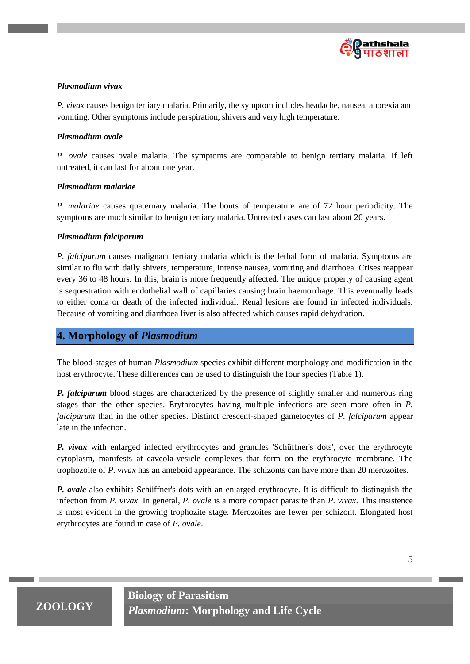

### *Plasmodium vivax*

*P. vivax* causes benign tertiary malaria. Primarily, the symptom includes headache, nausea, anorexia and vomiting. Other symptoms include perspiration, shivers and very high temperature.

### *Plasmodium ovale*

*P. ovale* causes ovale malaria. The symptoms are comparable to benign tertiary malaria. If left untreated, it can last for about one year.

### *Plasmodium malariae*

*P. malariae* causes quaternary malaria. The bouts of temperature are of 72 hour periodicity. The symptoms are much similar to benign tertiary malaria. Untreated cases can last about 20 years.

## *Plasmodium falciparum*

*P. falciparum* causes malignant tertiary malaria which is the lethal form of malaria. Symptoms are similar to flu with daily shivers, temperature, intense nausea, vomiting and diarrhoea. Crises reappear every 36 to 48 hours. In this, brain is more frequently affected. The unique property of causing agent is sequestration with endothelial wall of capillaries causing brain haemorrhage. This eventually leads to either coma or death of the infected individual. Renal lesions are found in infected individuals. Because of vomiting and diarrhoea liver is also affected which causes rapid dehydration.

## **4. Morphology of** *Plasmodium*

The blood-stages of human *Plasmodium* species exhibit different morphology and modification in the host erythrocyte. These differences can be used to distinguish the four species (Table 1).

*P. falciparum* blood stages are characterized by the presence of slightly smaller and numerous ring stages than the other species. Erythrocytes having multiple infections are seen more often in *P. falciparum* than in the other species. Distinct crescent-shaped gametocytes of *P. falciparum* appear late in the infection.

*P. vivax* with enlarged infected erythrocytes and granules 'Schüffner's dots', over the erythrocyte cytoplasm, manifests at caveola-vesicle complexes that form on the erythrocyte membrane. The trophozoite of *P. vivax* has an ameboid appearance. The schizonts can have more than 20 merozoites.

*P. ovale* also exhibits Schüffner's dots with an enlarged erythrocyte. It is difficult to distinguish the infection from *P. vivax*. In general, *P. ovale* is a more compact parasite than *P. vivax*. This insistence is most evident in the growing trophozite stage. Merozoites are fewer per schizont. Elongated host erythrocytes are found in case of *P. ovale*.

# **ZOOLOGY**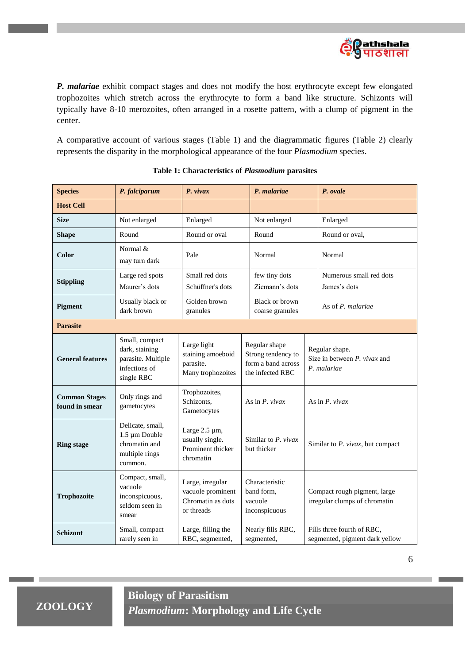

*P. malariae* exhibit compact stages and does not modify the host erythrocyte except few elongated trophozoites which stretch across the erythrocyte to form a band like structure. Schizonts will typically have 8-10 merozoites, often arranged in a rosette pattern, with a clump of pigment in the center.

A comparative account of various stages (Table 1) and the diagrammatic figures (Table 2) clearly represents the disparity in the morphological appearance of the four *Plasmodium* species.

| <b>Species</b>                         | P. falciparum                                                                                             | $P.$ vivax                                                               | P. malariae                                                                   |                                         | P. ovale                                                      |  |
|----------------------------------------|-----------------------------------------------------------------------------------------------------------|--------------------------------------------------------------------------|-------------------------------------------------------------------------------|-----------------------------------------|---------------------------------------------------------------|--|
| <b>Host Cell</b>                       |                                                                                                           |                                                                          |                                                                               |                                         |                                                               |  |
| <b>Size</b>                            | Not enlarged<br>Enlarged<br>Not enlarged                                                                  |                                                                          |                                                                               | Enlarged                                |                                                               |  |
| <b>Shape</b>                           | Round                                                                                                     | Round or oval                                                            | Round                                                                         |                                         | Round or oval,                                                |  |
| Color                                  | Normal &<br>may turn dark                                                                                 | Pale                                                                     | Normal                                                                        |                                         | Normal                                                        |  |
| <b>Stippling</b>                       | Small red dots<br>few tiny dots<br>Large red spots<br>Maurer's dots<br>Schüffner's dots<br>Ziemann's dots |                                                                          |                                                                               | Numerous small red dots<br>James's dots |                                                               |  |
| <b>Pigment</b>                         | Usually black or<br>dark brown                                                                            | Golden brown<br>granules                                                 | Black or brown<br>coarse granules                                             |                                         | As of P. malariae                                             |  |
| <b>Parasite</b>                        |                                                                                                           |                                                                          |                                                                               |                                         |                                                               |  |
| <b>General features</b>                | Small, compact<br>dark, staining<br>parasite. Multiple<br>infections of<br>single RBC                     | Large light<br>staining amoeboid<br>parasite.<br>Many trophozoites       | Regular shape<br>Strong tendency to<br>form a band across<br>the infected RBC |                                         | Regular shape.<br>Size in between P. vivax and<br>P. malariae |  |
| <b>Common Stages</b><br>found in smear | Only rings and<br>gametocytes                                                                             | Trophozoites,<br>Schizonts,<br>Gametocytes                               | As in $P.$ vivax                                                              |                                         | As in $P.$ vivax                                              |  |
| <b>Ring stage</b>                      | Delicate, small,<br>1.5 µm Double<br>chromatin and<br>multiple rings<br>common.                           | Large $2.5 \mu m$ ,<br>usually single.<br>Prominent thicker<br>chromatin | Similar to $P.$ vivax<br>Similar to $P.$ vivax, but compact<br>but thicker    |                                         |                                                               |  |
| Trophozoite                            | Compact, small,<br>vacuole<br>inconspicuous,<br>seldom seen in<br>smear                                   | Large, irregular<br>vacuole prominent<br>Chromatin as dots<br>or threads | Characteristic<br>band form,<br>vacuole<br>inconspicuous                      |                                         | Compact rough pigment, large<br>irregular clumps of chromatin |  |
| <b>Schizont</b>                        | Small, compact<br>rarely seen in                                                                          | Large, filling the<br>Nearly fills RBC,<br>RBC, segmented,<br>segmented, |                                                                               |                                         | Fills three fourth of RBC,<br>segmented, pigment dark yellow  |  |

#### **Table 1: Characteristics of** *Plasmodium* **parasites**

6

**ZOOLOGY**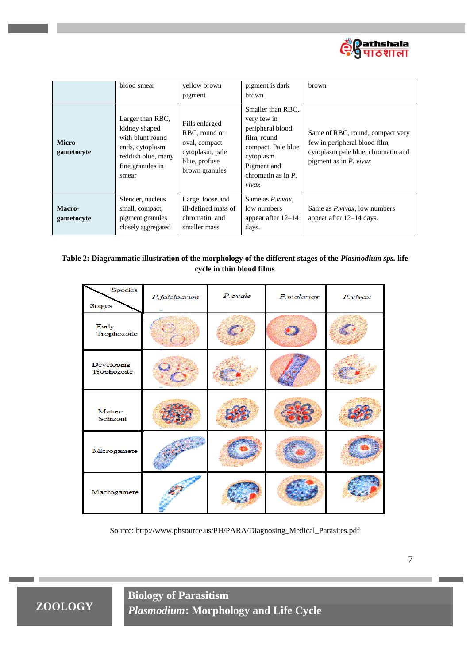

|                      | blood smear                                                                                                                 | yellow brown<br>pigment                                                                                | pigment is dark<br><b>brown</b>                                                                                                                          | brown                                                                                                                                |
|----------------------|-----------------------------------------------------------------------------------------------------------------------------|--------------------------------------------------------------------------------------------------------|----------------------------------------------------------------------------------------------------------------------------------------------------------|--------------------------------------------------------------------------------------------------------------------------------------|
| Micro-<br>gametocyte | Larger than RBC,<br>kidney shaped<br>with blunt round<br>ends, cytoplasm<br>reddish blue, many<br>fine granules in<br>smear | Fills enlarged<br>RBC, round or<br>oval, compact<br>cytoplasm, pale<br>blue, profuse<br>brown granules | Smaller than RBC,<br>very few in<br>peripheral blood<br>film, round<br>compact. Pale blue<br>cytoplasm.<br>Pigment and<br>chromatin as in $P$ .<br>vivax | Same of RBC, round, compact very<br>few in peripheral blood film,<br>cytoplasm pale blue, chromatin and<br>pigment as in $P$ . vivax |
| Macro-<br>gametocyte | Slender, nucleus<br>small, compact,<br>pigment granules<br>closely aggregated                                               | Large, loose and<br>ill-defined mass of<br>chromatin and<br>smaller mass                               | Same as <i>P.vivax</i> ,<br>low numbers<br>appear after $12-14$<br>days.                                                                                 | Same as <i>P.vivax</i> , low numbers<br>appear after $12-14$ days.                                                                   |

## **Table 2: Diagrammatic illustration of the morphology of the different stages of the** *Plasmodium sps.* **life cycle in thin blood films**

| Species<br><b>Stages</b>  | P.falciparum | P.ovale | P.malariae | P.vivax |
|---------------------------|--------------|---------|------------|---------|
| Early<br>Trophozoite      |              |         |            |         |
| Developing<br>Trophozoite |              |         |            |         |
| Mature<br>Schizont        |              |         |            |         |
| Microgamete               |              |         |            |         |
| Macrogamete               |              |         |            |         |

Source: http://www.phsource.us/PH/PARA/Diagnosing\_Medical\_Parasites.pdf

7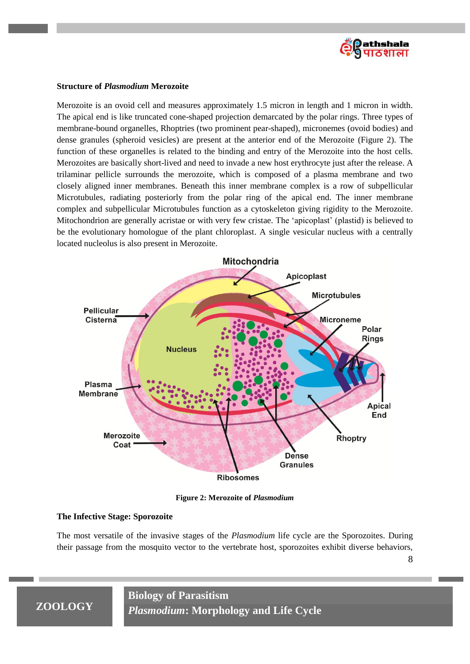

#### **Structure of** *Plasmodium* **Merozoite**

Merozoite is an ovoid cell and measures approximately 1.5 micron in length and 1 micron in width. The apical end is like truncated cone-shaped projection demarcated by the polar rings. Three types of membrane-bound organelles, Rhoptries (two prominent pear-shaped), micronemes (ovoid bodies) and dense granules (spheroid vesicles) are present at the anterior end of the Merozoite (Figure 2). The function of these organelles is related to the binding and entry of the Merozoite into the host cells. Merozoites are basically short-lived and need to invade a new host erythrocyte just after the release. A trilaminar pellicle surrounds the merozoite, which is composed of a plasma membrane and two closely aligned inner membranes. Beneath this inner membrane complex is a row of subpellicular Microtubules, radiating posteriorly from the polar ring of the apical end. The inner membrane complex and subpellicular Microtubules function as a cytoskeleton giving rigidity to the Merozoite. Mitochondrion are generally acristae or with very few cristae. The "apicoplast" (plastid) is believed to be the evolutionary homologue of the plant chloroplast. A single vesicular nucleus with a centrally located nucleolus is also present in Merozoite.



**Figure 2: Merozoite of** *Plasmodium*

#### **The Infective Stage: Sporozoite**

The most versatile of the invasive stages of the *Plasmodium* life cycle are the Sporozoites. During their passage from the mosquito vector to the vertebrate host, sporozoites exhibit diverse behaviors,

8

# **ZOOLOGY**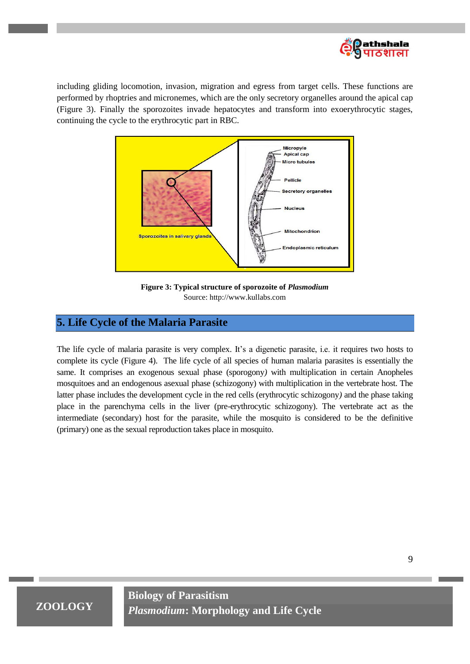

including gliding locomotion, invasion, migration and egress from target cells. These functions are performed by rhoptries and micronemes, which are the only secretory organelles around the apical cap (Figure 3). Finally the sporozoites invade hepatocytes and transform into exoerythrocytic stages, continuing the cycle to the erythrocytic part in RBC.



**Figure 3: Typical structure of sporozoite of** *Plasmodium*  Source: http://www.kullabs.com

## **5. Life Cycle of the Malaria Parasite**

The life cycle of malaria parasite is very complex. It's a digenetic parasite, i.e. it requires two hosts to complete its cycle (Figure 4). The life cycle of all species of human malaria parasites is essentially the same. It comprises an exogenous sexual phase (sporogony*)* with multiplication in certain Anopheles mosquitoes and an endogenous asexual phase (schizogony) with multiplication in the vertebrate host. The latter phase includes the development cycle in the red cells (erythrocytic schizogony*)* and the phase taking place in the parenchyma cells in the liver (pre-erythrocytic schizogony). The vertebrate act as the intermediate (secondary) host for the parasite, while the mosquito is considered to be the definitive (primary) one as the sexual reproduction takes place in mosquito.

**ZOOLOGY**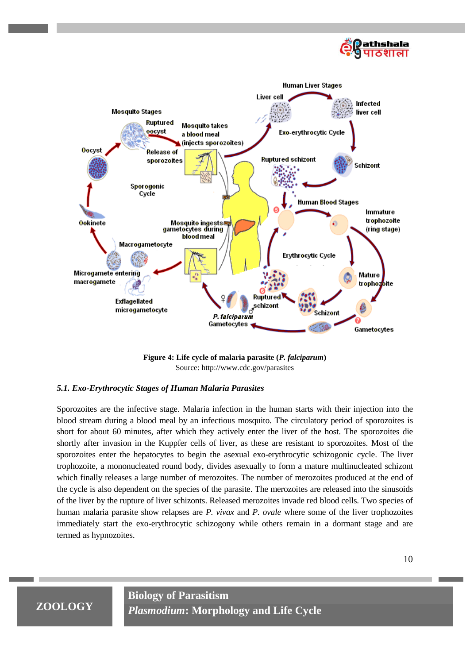



**Figure 4: Life cycle of malaria parasite (***P. falciparum***)** Source: http://www.cdc.gov/parasites

### *5.1. Exo-Erythrocytic Stages of Human Malaria Parasites*

Sporozoites are the infective stage. Malaria infection in the human starts with their injection into the blood stream during a blood meal by an infectious mosquito. The circulatory period of sporozoites is short for about 60 minutes, after which they actively enter the liver of the host. The sporozoites die shortly after invasion in the Kuppfer cells of liver, as these are resistant to sporozoites. Most of the sporozoites enter the hepatocytes to begin the asexual exo-erythrocytic schizogonic cycle. The liver trophozoite, a mononucleated round body, divides asexually to form a mature multinucleated schizont which finally releases a large number of merozoites. The number of merozoites produced at the end of the cycle is also dependent on the species of the parasite. The merozoites are released into the sinusoids of the liver by the rupture of liver schizonts. Released merozoites invade red blood cells. Two species of human malaria parasite show relapses are *P. vivax* and *P. ovale* where some of the liver trophozoites immediately start the exo-erythrocytic schizogony while others remain in a dormant stage and are termed as hypnozoites.

# **ZOOLOGY**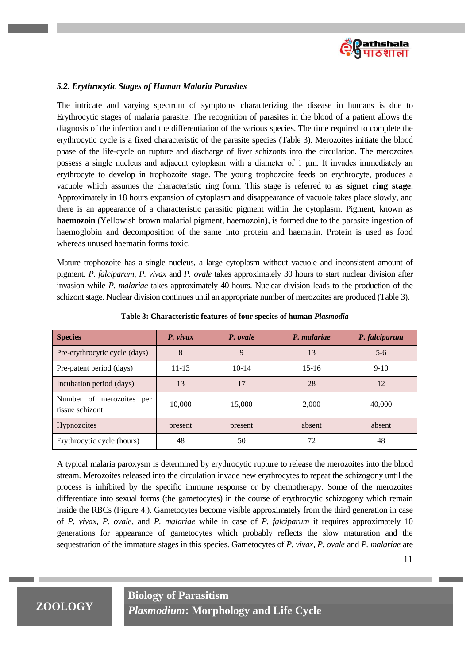

### *5.2. Erythrocytic Stages of Human Malaria Parasites*

The intricate and varying spectrum of symptoms characterizing the disease in humans is due to Erythrocytic stages of malaria parasite. The recognition of parasites in the blood of a patient allows the diagnosis of the infection and the differentiation of the various species. The time required to complete the erythrocytic cycle is a fixed characteristic of the parasite species (Table 3). Merozoites initiate the blood phase of the life-cycle on rupture and discharge of liver schizonts into the circulation. The merozoites possess a single nucleus and adjacent cytoplasm with a diameter of 1 μm. It invades immediately an erythrocyte to develop in trophozoite stage. The young trophozoite feeds on erythrocyte, produces a vacuole which assumes the characteristic ring form. This stage is referred to as **signet ring stage**. Approximately in 18 hours expansion of cytoplasm and disappearance of vacuole takes place slowly, and there is an appearance of a characteristic parasitic pigment within the cytoplasm. Pigment, known as **haemozoin** (Yellowish brown malarial pigment, haemozoin), is formed due to the parasite ingestion of haemoglobin and decomposition of the same into protein and haematin. Protein is used as food whereas unused haematin forms toxic.

Mature trophozoite has a single nucleus, a large cytoplasm without vacuole and inconsistent amount of pigment. *P. falciparum*, *P. vivax* and *P. ovale* takes approximately 30 hours to start nuclear division after invasion while *P. malariae* takes approximately 40 hours. Nuclear division leads to the production of the schizont stage. Nuclear division continues until an appropriate number of merozoites are produced (Table 3).

| <b>Species</b>                              | $P.$ vivax | P. ovale | P. malariae | P. falciparum |
|---------------------------------------------|------------|----------|-------------|---------------|
| Pre-erythrocytic cycle (days)               | 8          | 9        | 13          | $5-6$         |
| Pre-patent period (days)                    | $11 - 13$  | $10-14$  | $15 - 16$   | $9-10$        |
| Incubation period (days)                    | 13         | 17       | 28          | 12            |
| Number of merozoites per<br>tissue schizont | 10,000     | 15,000   | 2,000       | 40,000        |
| Hypnozoites                                 | present    | present  | absent      | absent        |
| Erythrocytic cycle (hours)                  | 48         | 50       | 72          | 48            |

**Table 3: Characteristic features of four species of human** *Plasmodia*

A typical malaria paroxysm is determined by erythrocytic rupture to release the merozoites into the blood stream. Merozoites released into the circulation invade new erythrocytes to repeat the schizogony until the process is inhibited by the specific immune response or by chemotherapy. Some of the merozoites differentiate into sexual forms (the gametocytes) in the course of erythrocytic schizogony which remain inside the RBCs (Figure 4.). Gametocytes become visible approximately from the third generation in case of *P. vivax*, *P. ovale*, and *P. malariae* while in case of *P. falciparum* it requires approximately 10 generations for appearance of gametocytes which probably reflects the slow maturation and the sequestration of the immature stages in this species. Gametocytes of *P. vivax, P. ovale* and *P. malariae* are

11

# **ZOOLOGY**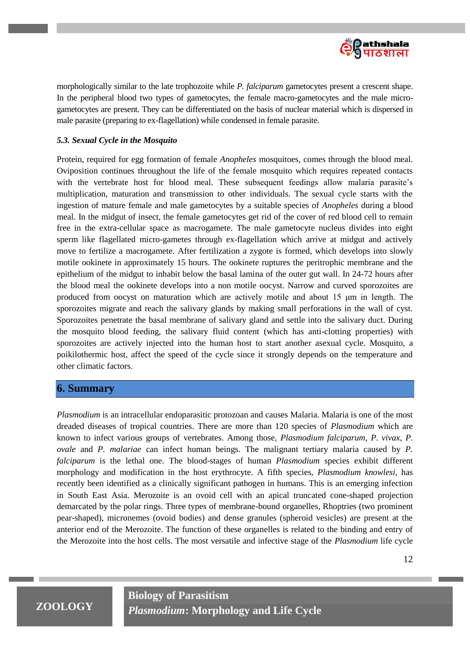

morphologically similar to the late trophozoite while *P. falciparum* gametocytes present a crescent shape. In the peripheral blood two types of gametocytes, the female macro-gametocytes and the male microgametocytes are present. They can be differentiated on the basis of nuclear material which is dispersed in male parasite (preparing to ex-flagellation) while condensed in female parasite.

#### *5.3. Sexual Cycle in the Mosquito*

Protein, required for egg formation of female *Anopheles* mosquitoes, comes through the blood meal. Oviposition continues throughout the life of the female mosquito which requires repeated contacts with the vertebrate host for blood meal. These subsequent feedings allow malaria parasite's multiplication, maturation and transmission to other individuals. The sexual cycle starts with the ingestion of mature female and male gametocytes by a suitable species of *Anopheles* during a blood meal. In the midgut of insect, the female gametocytes get rid of the cover of red blood cell to remain free in the extra-cellular space as macrogamete. The male gametocyte nucleus divides into eight sperm like flagellated micro-gametes through ex-flagellation which arrive at midgut and actively move to fertilize a macrogamete. After fertilization a zygote is formed, which develops into slowly motile ookinete in approximately 15 hours. The ookinete ruptures the peritrophic membrane and the epithelium of the midgut to inhabit below the basal lamina of the outer gut wall. In 24-72 hours after the blood meal the ookinete develops into a non motile oocyst. Narrow and curved sporozoites are produced from oocyst on maturation which are actively motile and about 15 μm in length. The sporozoites migrate and reach the salivary glands by making small perforations in the wall of cyst. Sporozoites penetrate the basal membrane of salivary gland and settle into the salivary duct. During the mosquito blood feeding, the salivary fluid content (which has anti-clotting properties) with sporozoites are actively injected into the human host to start another asexual cycle. Mosquito, a poikilothermic host, affect the speed of the cycle since it strongly depends on the temperature and other climatic factors.

### **6. Summary**

*Plasmodium* is an intracellular endoparasitic protozoan and causes Malaria. Malaria is one of the most dreaded diseases of tropical countries. There are more than 120 species of *Plasmodium* which are known to infect various groups of vertebrates. Among those, *Plasmodium falciparum*, *P. vivax*, *P. ovale* and *P. malariae* can infect human beings. The malignant tertiary malaria caused by *P. falciparum* is the lethal one. The blood-stages of human *Plasmodium* species exhibit different morphology and modification in the host erythrocyte. A fifth species, *Plasmodium knowlesi*, has recently been identified as a clinically significant pathogen in humans. This is an emerging infection in South East Asia. Merozoite is an ovoid cell with an apical truncated cone-shaped projection demarcated by the polar rings. Three types of membrane-bound organelles, Rhoptries (two prominent pear-shaped), micronemes (ovoid bodies) and dense granules (spheroid vesicles) are present at the anterior end of the Merozoite. The function of these organelles is related to the binding and entry of the Merozoite into the host cells. The most versatile and infective stage of the *Plasmodium* life cycle

# **ZOOLOGY**